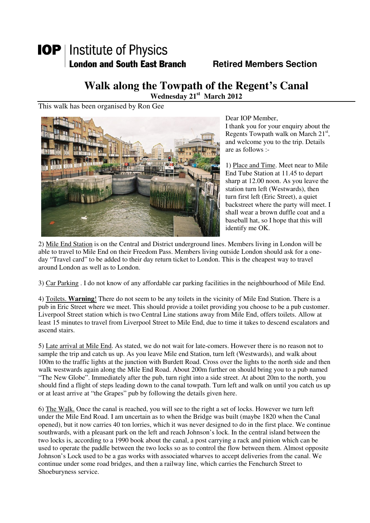## **IOP** | Institute of Physics **London and South East Branch Fig. 2.1 Retired Members Section**

## **Walk along the Towpath of the Regent's Canal**

**Wednesday 21st March 2012** 

This walk has been organised by Ron Gee



Dear IOP Member, I thank you for your enquiry about the Regents Towpath walk on March  $21<sup>st</sup>$ , and welcome you to the trip. Details are as follows :-

1) Place and Time. Meet near to Mile End Tube Station at 11.45 to depart sharp at 12.00 noon. As you leave the station turn left (Westwards), then turn first left (Eric Street), a quiet backstreet where the party will meet. I shall wear a brown duffle coat and a baseball hat, so I hope that this will identify me OK.

2) Mile End Station is on the Central and District underground lines. Members living in London will be able to travel to Mile End on their Freedom Pass. Members living outside London should ask for a oneday "Travel card" to be added to their day return ticket to London. This is the cheapest way to travel around London as well as to London.

3) Car Parking . I do not know of any affordable car parking facilities in the neighbourhood of Mile End.

4) Toilets. **Warning**! There do not seem to be any toilets in the vicinity of Mile End Station. There is a pub in Eric Street where we meet. This should provide a toilet providing you choose to be a pub customer. Liverpool Street station which is two Central Line stations away from Mile End, offers toilets. Allow at least 15 minutes to travel from Liverpool Street to Mile End, due to time it takes to descend escalators and ascend stairs.

5) Late arrival at Mile End. As stated, we do not wait for late-comers. However there is no reason not to sample the trip and catch us up. As you leave Mile end Station, turn left (Westwards), and walk about 100m to the traffic lights at the junction with Burdett Road. Cross over the lights to the north side and then walk westwards again along the Mile End Road. About 200m further on should bring you to a pub named "The New Globe". Immediately after the pub, turn right into a side street. At about 20m to the north, you should find a flight of steps leading down to the canal towpath. Turn left and walk on until you catch us up or at least arrive at "the Grapes" pub by following the details given here.

6) The Walk. Once the canal is reached, you will see to the right a set of locks. However we turn left under the Mile End Road. I am uncertain as to when the Bridge was built (maybe 1820 when the Canal opened), but it now carries 40 ton lorries, which it was never designed to do in the first place. We continue southwards, with a pleasant park on the left and reach Johnson's lock. In the central island between the two locks is, according to a 1990 book about the canal, a post carrying a rack and pinion which can be used to operate the paddle between the two locks so as to control the flow between them. Almost opposite Johnson's Lock used to be a gas works with associated wharves to accept deliveries from the canal. We continue under some road bridges, and then a railway line, which carries the Fenchurch Street to Shoeburyness service.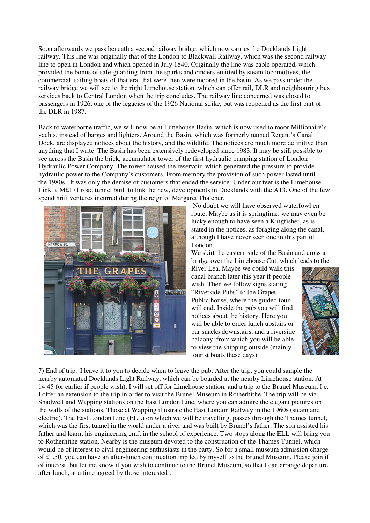Soon afterwards we pass beneath a second railway bridge, which now carries the Docklands Light railway. This line was originally that of the London to Blackwall Railway, which was the second railway line to open in London and which opened in July 1840. Originally the line was cable operated, which provided the bonus of safe-guarding from the sparks and cinders emitted by steam locomotives, the commercial, sailing boats of that era, that were then were moored in the basin. As we pass under the railway bridge we will see to the right Limehouse station, which can offer rail, DLR and neighbouring bus services back to Central London when the trip concludes. The railway line concerned was closed to passengers in 1926, one of the legacies of the 1926 National strike, but was reopened as the first part of the DLR in 1987.

Back to waterborne traffic, we will now be at Limehouse Basin, which is now used to moor Millionaire's yachts, instead of barges and lighters. Around the Basin, which was formerly named Regent's Canal Dock, are displayed notices about the history, and the wildlife. The notices are much more definitive than anything that I write. The Basin has been extensively redeveloped since 1983. It may be still possible to see across the Basin the brick, accumulator tower of the first hydraulic pumping station of London Hydraulic Power Company. The tower housed the reservoir, which generated the pressure to provide hydraulic power to the Company's customers. From memory the provision of such power lasted until the 1980s. It was only the demise of customers that ended the service. Under our feet is the Limehouse Link, a M£171 road tunnel built to link the new, developments in Docklands with the A13. One of the few spendthrift ventures incurred during the reign of Margaret Thatcher.



 No doubt we will have observed waterfowl en route. Maybe as it is springtime, we may even be lucky enough to have seen a Kingfisher, as is stated in the notices, as foraging along the canal, although I have never seen one in this part of London.

We skirt the eastern side of the Basin and cross a bridge over the Limehouse Cut, which leads to the

River Lea. Maybe we could walk this canal branch later this year if people wish. Then we follow signs stating "Riverside Pubs" to the Grapes Public house, where the guided tour will end. Inside the pub you will find notices about the history. Here you will be able to order lunch upstairs or bar snacks downstairs, and a riverside balcony, from which you will be able to view the shipping outside (mainly tourist boats these days).



7) End of trip. I leave it to you to decide when to leave the pub. After the trip, you could sample the nearby automated Docklands Light Railway, which can be boarded at the nearby Limehouse station. At 14.45 (or earlier if people wish), I will set off for Limehouse station, and a trip to the Brunel Museum. I.e. I offer an extension to the trip in order to visit the Brunel Museum in Rotherhithe. The trip will be via Shadwell and Wapping stations on the East London Line, where you can admire the elegant pictures on the walls of the stations. Those at Wapping illustrate the East London Railway in the 1960s (steam and electric). The East London Line (ELL) on which we will be travelling, passes through the Thames tunnel, which was the first tunnel in the world under a river and was built by Brunel's father. The son assisted his father and learnt his engineering craft in the school of experience. Two stops along the ELL will bring you to Rotherhithe station. Nearby is the museum devoted to the construction of the Thames Tunnel, which would be of interest to civil engineering enthusiasts in the party. So for a small museum admission charge of £1.50, you can have an after-lunch continuation trip led by myself to the Brunel Museum. Please join if of interest, but let me know if you wish to continue to the Brunel Museum, so that I can arrange departure after lunch, at a time agreed by those interested .